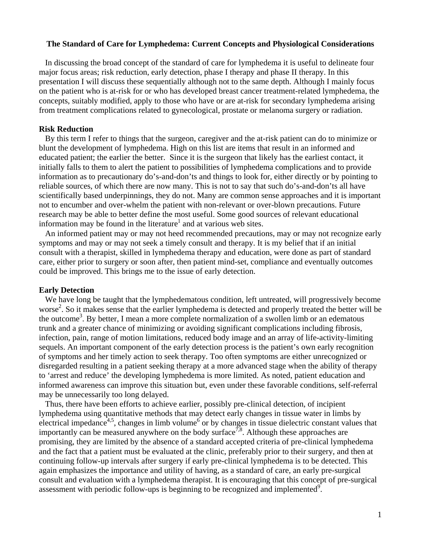### **The Standard of Care for Lymphedema: Current Concepts and Physiological Considerations**

 In discussing the broad concept of the standard of care for lymphedema it is useful to delineate four major focus areas; risk reduction, early detection, phase I therapy and phase II therapy. In this presentation I will discuss these sequentially although not to the same depth. Although I mainly focus on the patient who is at-risk for or who has developed breast cancer treatment-related lymphedema, the concepts, suitably modified, apply to those who have or are at-risk for secondary lymphedema arising from treatment complications related to gynecological, prostate or melanoma surgery or radiation.

## **Risk Reduction**

 By this term I refer to things that the surgeon, caregiver and the at-risk patient can do to minimize or blunt the development of lymphedema. High on this list are items that result in an informed and educated patient; the earlier the better. Since it is the surgeon that likely has the earliest contact, it initially falls to them to alert the patient to possibilities of lymphedema complications and to provide information as to precautionary do's-and-don'ts and things to look for, either directly or by pointing to reliable sources, of which there are now many. This is not to say that such do's-and-don'ts all have scientifically based underpinnings, they do not. Many are common sense approaches and it is important not to encumber and over-whelm the patient with non-relevant or over-blown precautions. Future research may be able to better define the most useful. Some good sources of relevant educational information may be found in the literature<sup>1</sup> and at various web sites.

 An informed patient may or may not heed recommended precautions, may or may not recognize early symptoms and may or may not seek a timely consult and therapy. It is my belief that if an initial consult with a therapist, skilled in lymphedema therapy and education, were done as part of standard care, either prior to surgery or soon after, then patient mind-set, compliance and eventually outcomes could be improved. This brings me to the issue of early detection.

## **Early Detection**

We have long be taught that the lymphedematous condition, left untreated, will progressively become worse<sup>2</sup>. So it makes sense that the earlier lymphedema is detected and properly treated the better will be the outcome3 . By better, I mean a more complete normalization of a swollen limb or an edematous trunk and a greater chance of minimizing or avoiding significant complications including fibrosis, infection, pain, range of motion limitations, reduced body image and an array of life-activity-limiting sequels. An important component of the early detection process is the patient's own early recognition of symptoms and her timely action to seek therapy. Too often symptoms are either unrecognized or disregarded resulting in a patient seeking therapy at a more advanced stage when the ability of therapy to 'arrest and reduce' the developing lymphedema is more limited. As noted, patient education and informed awareness can improve this situation but, even under these favorable conditions, self-referral may be unnecessarily too long delayed.

 Thus, there have been efforts to achieve earlier, possibly pre-clinical detection, of incipient lymphedema using quantitative methods that may detect early changes in tissue water in limbs by electrical impedance<sup>4,5</sup>, changes in limb volume<sup>6</sup> or by changes in tissue dielectric constant values that importantly can be measured anywhere on the body surface<sup>7,8</sup>. Although these approaches are promising, they are limited by the absence of a standard accepted criteria of pre-clinical lymphedema and the fact that a patient must be evaluated at the clinic, preferably prior to their surgery, and then at continuing follow-up intervals after surgery if early pre-clinical lymphedema is to be detected. This again emphasizes the importance and utility of having, as a standard of care, an early pre-surgical consult and evaluation with a lymphedema therapist. It is encouraging that this concept of pre-surgical assessment with periodic follow-ups is beginning to be recognized and implemented<sup>9</sup>.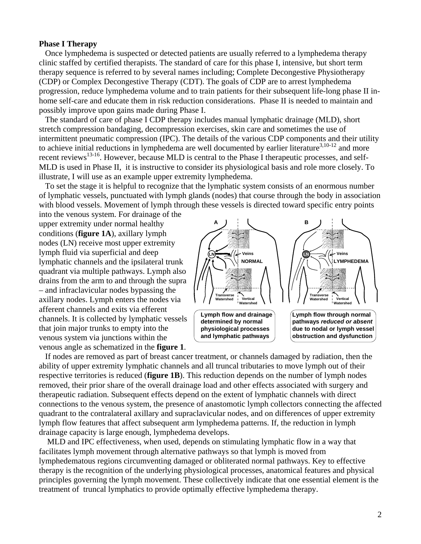## **Phase I Therapy**

 Once lymphedema is suspected or detected patients are usually referred to a lymphedema therapy clinic staffed by certified therapists. The standard of care for this phase I, intensive, but short term therapy sequence is referred to by several names including; Complete Decongestive Physiotherapy (CDP) or Complex Decongestive Therapy (CDT). The goals of CDP are to arrest lymphedema progression, reduce lymphedema volume and to train patients for their subsequent life-long phase II inhome self-care and educate them in risk reduction considerations. Phase II is needed to maintain and possibly improve upon gains made during Phase I.

 The standard of care of phase I CDP therapy includes manual lymphatic drainage (MLD), short stretch compression bandaging, decompression exercises, skin care and sometimes the use of intermittent pneumatic compression (IPC). The details of the various CDP components and their utility to achieve initial reductions in lymphedema are well documented by earlier literature<sup>3,10-12</sup> and more recent reviews<sup>13-16</sup>. However, because MLD is central to the Phase I therapeutic processes, and self-MLD is used in Phase II, it is instructive to consider its physiological basis and role more closely. To illustrate, I will use as an example upper extremity lymphedema.

 To set the stage it is helpful to recognize that the lymphatic system consists of an enormous number of lymphatic vessels, punctuated with lymph glands (nodes) that course through the body in association with blood vessels. Movement of lymph through these vessels is directed toward specific entry points

into the venous system. For drainage of the upper extremity under normal healthy conditions (**figure 1A**), axillary lymph nodes (LN) receive most upper extremity lymph fluid via superficial and deep lymphatic channels and the ipsilateral trunk quadrant via multiple pathways. Lymph also drains from the arm to and through the supra – and infraclavicular nodes bypassing the axillary nodes. Lymph enters the nodes via afferent channels and exits via efferent channels. It is collected by lymphatic vessels that join major trunks to empty into the venous system via junctions within the venous angle as schematized in the **figure 1**.



 If nodes are removed as part of breast cancer treatment, or channels damaged by radiation, then the ability of upper extremity lymphatic channels and all truncal tributaries to move lymph out of their respective territories is reduced (**figure 1B**). This reduction depends on the number of lymph nodes removed, their prior share of the overall drainage load and other effects associated with surgery and therapeutic radiation. Subsequent effects depend on the extent of lymphatic channels with direct connections to the venous system, the presence of anastomotic lymph collectors connecting the affected quadrant to the contralateral axillary and supraclavicular nodes, and on differences of upper extremity lymph flow features that affect subsequent arm lymphedema patterns. If, the reduction in lymph drainage capacity is large enough, lymphedema develops.

 MLD and IPC effectiveness, when used, depends on stimulating lymphatic flow in a way that facilitates lymph movement through alternative pathways so that lymph is moved from lymphedematous regions circumventing damaged or obliterated normal pathways. Key to effective therapy is the recognition of the underlying physiological processes, anatomical features and physical principles governing the lymph movement. These collectively indicate that one essential element is the treatment of truncal lymphatics to provide optimally effective lymphedema therapy.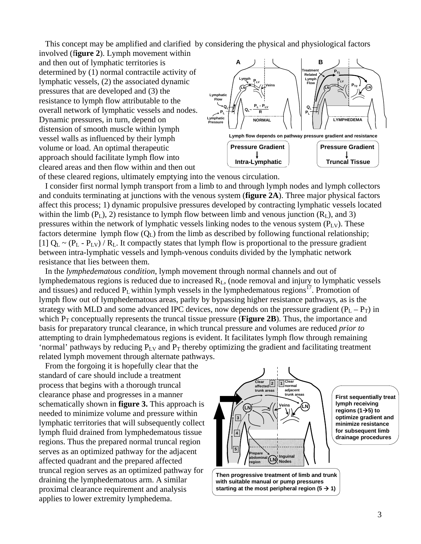This concept may be amplified and clarified by considering the physical and physiological factors

involved (f**igure 2**). Lymph movement within and then out of lymphatic territories is determined by (1) normal contractile activity of lymphatic vessels, (2) the associated dynamic pressures that are developed and (3) the resistance to lymph flow attributable to the overall network of lymphatic vessels and nodes. Dynamic pressures, in turn, depend on distension of smooth muscle within lymph vessel walls as influenced by their lymph volume or load. An optimal therapeutic approach should facilitate lymph flow into cleared areas and then flow within and then out of these cleared regions, ultimately emptying into the venous circulation.



 I consider first normal lymph transport from a limb to and through lymph nodes and lymph collectors and conduits terminating at junctions with the venous system (**figure 2A**). Three major physical factors affect this process; 1) dynamic propulsive pressures developed by contracting lymphatic vessels located within the limb  $(P_L)$ , 2) resistance to lymph flow between limb and venous junction  $(R_L)$ , and 3) pressures within the network of lymphatic vessels linking nodes to the venous system  $(P_{L,V})$ . These factors determine lymph flow  $(O<sub>L</sub>)$  from the limb as described by following functional relationship; [1]  $Q_L \sim (P_L - P_{LV}) / R_L$ . It compactly states that lymph flow is proportional to the pressure gradient between intra-lymphatic vessels and lymph-venous conduits divided by the lymphatic network resistance that lies between them.

 In the *lymphedematous condition*, lymph movement through normal channels and out of lymphedematous regions is reduced due to increased  $R<sub>L</sub>$ , (node removal and injury to lymphatic vessels and tissues) and reduced  $P_L$  within lymph vessels in the lymphedematous regions<sup>17</sup>. Promotion of lymph flow out of lymphedematous areas, parlty by bypassing higher resistance pathways, as is the strategy with MLD and some advanced IPC devices, now depends on the pressure gradient  $(P_L - P_T)$  in which  $P_T$  conceptually represents the truncal tissue pressure (**Figure 2B**). Thus, the importance and basis for preparatory truncal clearance, in which truncal pressure and volumes are reduced *prior to* attempting to drain lymphedematous regions is evident. It facilitates lymph flow through remaining 'normal' pathways by reducing  $P_{LV}$  and  $P_T$  thereby optimizing the gradient and facilitating treatment related lymph movement through alternate pathways.

 From the forgoing it is hopefully clear that the standard of care should include a treatment process that begins with a thorough truncal clearance phase and progresses in a manner schematically shown in **figure 3.** This approach is needed to minimize volume and pressure within lymphatic territories that will subsequently collect lymph fluid drained from lymphedematous tissue regions. Thus the prepared normal truncal region serves as an optimized pathway for the adjacent affected quadrant and the prepared affected truncal region serves as an optimized pathway for draining the lymphedematous arm. A similar proximal clearance requirement and analysis applies to lower extremity lymphedema.

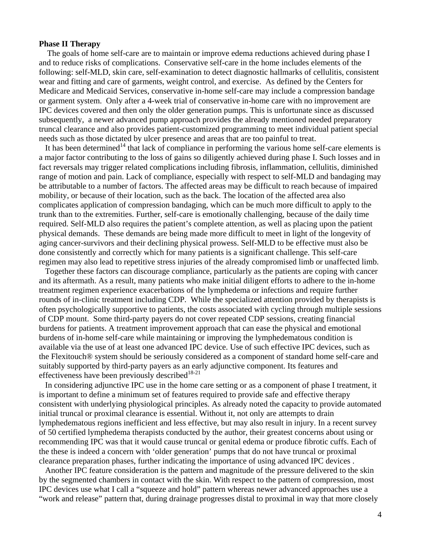#### **Phase II Therapy**

 The goals of home self-care are to maintain or improve edema reductions achieved during phase I and to reduce risks of complications. Conservative self-care in the home includes elements of the following: self-MLD, skin care, self-examination to detect diagnostic hallmarks of cellulitis, consistent wear and fitting and care of garments, weight control, and exercise. As defined by the Centers for Medicare and Medicaid Services, conservative in-home self-care may include a compression bandage or garment system. Only after a 4-week trial of conservative in-home care with no improvement are IPC devices covered and then only the older generation pumps. This is unfortunate since as discussed subsequently, a newer advanced pump approach provides the already mentioned needed preparatory truncal clearance and also provides patient-customized programming to meet individual patient special needs such as those dictated by ulcer presence and areas that are too painful to treat.

It has been determined<sup>14</sup> that lack of compliance in performing the various home self-care elements is a major factor contributing to the loss of gains so diligently achieved during phase I. Such losses and in fact reversals may trigger related complications including fibrosis, inflammation, cellulitis, diminished range of motion and pain. Lack of compliance, especially with respect to self-MLD and bandaging may be attributable to a number of factors. The affected areas may be difficult to reach because of impaired mobility, or because of their location, such as the back. The location of the affected area also complicates application of compression bandaging, which can be much more difficult to apply to the trunk than to the extremities. Further, self-care is emotionally challenging, because of the daily time required. Self-MLD also requires the patient's complete attention, as well as placing upon the patient physical demands. These demands are being made more difficult to meet in light of the longevity of aging cancer-survivors and their declining physical prowess. Self-MLD to be effective must also be done consistently and correctly which for many patients is a significant challenge. This self-care regimen may also lead to repetitive stress injuries of the already compromised limb or unaffected limb.

 Together these factors can discourage compliance, particularly as the patients are coping with cancer and its aftermath. As a result, many patients who make initial diligent efforts to adhere to the in-home treatment regimen experience exacerbations of the lymphedema or infections and require further rounds of in-clinic treatment including CDP. While the specialized attention provided by therapists is often psychologically supportive to patients, the costs associated with cycling through multiple sessions of CDP mount. Some third-party payers do not cover repeated CDP sessions, creating financial burdens for patients. A treatment improvement approach that can ease the physical and emotional burdens of in-home self-care while maintaining or improving the lymphedematous condition is available via the use of at least one advanced IPC device. Use of such effective IPC devices, such as the Flexitouch® system should be seriously considered as a component of standard home self-care and suitably supported by third-party payers as an early adjunctive component. Its features and effectiveness have been previously described $18-21$ 

 In considering adjunctive IPC use in the home care setting or as a component of phase I treatment, it is important to define a minimum set of features required to provide safe and effective therapy consistent with underlying physiological principles. As already noted the capacity to provide automated initial truncal or proximal clearance is essential. Without it, not only are attempts to drain lymphedematous regions inefficient and less effective, but may also result in injury. In a recent survey of 50 certified lymphedema therapists conducted by the author, their greatest concerns about using or recommending IPC was that it would cause truncal or genital edema or produce fibrotic cuffs. Each of the these is indeed a concern with 'older generation' pumps that do not have truncal or proximal clearance preparation phases, further indicating the importance of using advanced IPC devices .

 Another IPC feature consideration is the pattern and magnitude of the pressure delivered to the skin by the segmented chambers in contact with the skin. With respect to the pattern of compression, most IPC devices use what I call a "squeeze and hold" pattern whereas newer advanced approaches use a "work and release" pattern that, during drainage progresses distal to proximal in way that more closely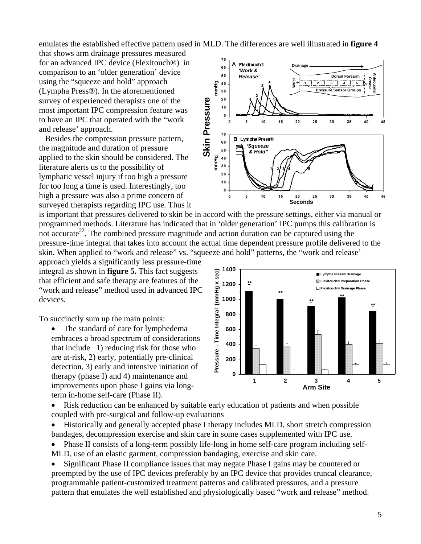emulates the established effective pattern used in MLD. The differences are well illustrated in **figure 4** 

that shows arm drainage pressures measured for an advanced IPC device (Flexitouch®) in comparison to an 'older generation' device using the "squeeze and hold" approach (Lympha Press®). In the aforementioned survey of experienced therapists one of the most important IPC compression feature was to have an IPC that operated with the "work and release' approach.

 Besides the compression pressure pattern, the magnitude and duration of pressure applied to the skin should be considered. The literature alerts us to the possibility of lymphatic vessel injury if too high a pressure for too long a time is used. Interestingly, too high a pressure was also a prime concern of surveyed therapists regarding IPC use. Thus it

 $70$ Flexitouch® Δ **Drainage** 60 *'Work &*  50 *Release'* **Dorsal Forearm Antecubital** Antecubit **Crease Wrist**  $\frac{1}{2}$   $\frac{40}{30}$ **1 2 3 4 5 Pressure Sensor Groups**  $20$ **Skin Pressure Skin Pressure**  $10$  $\mathbf{0}$  $15$  $\overline{20}$ 25 30 35  $\overline{5}$  $10$ 40 45  $70$ Lympha Press® B 60 *'Squeeze*  50 *& Hold"* mmHg 40 30  $20$  $10$  $\mathbf{0}$  $\mathbf{0}$  $10$ 35 5  $20$  $25$ 30 40 15 **Seconds**

is important that pressures delivered to skin be in accord with the pressure settings, either via manual or programmed methods. Literature has indicated that in 'older generation' IPC pumps this calibration is not accurate<sup>22</sup>. The combined pressure magnitude and action duration can be captured using the pressure-time integral that takes into account the actual time dependent pressure profile delivered to the skin. When applied to "work and release" vs. "squeeze and hold" patterns, the "work and release'

approach yields a significantly less pressure-time integral as shown in **figure 5.** This fact suggests that efficient and safe therapy are features of the "work and release" method used in advanced IPC devices.

To succinctly sum up the main points:

• The standard of care for lymphedema embraces a broad spectrum of considerations that include 1) reducing risk for those who are at-risk, 2) early, potentially pre-clinical detection, 3) early and intensive initiation of therapy (phase I) and 4) maintenance and improvements upon phase I gains via longterm in-home self-care (Phase II).



• Risk reduction can be enhanced by suitable early education of patients and when possible coupled with pre-surgical and follow-up evaluations

• Historically and generally accepted phase I therapy includes MLD, short stretch compression bandages, decompression exercise and skin care in some cases supplemented with IPC use.

• Phase II consists of a long-term possibly life-long in home self-care program including self-MLD, use of an elastic garment, compression bandaging, exercise and skin care.

• Significant Phase II compliance issues that may negate Phase I gains may be countered or preempted by the use of IPC devices preferably by an IPC device that provides truncal clearance, programmable patient-customized treatment patterns and calibrated pressures, and a pressure pattern that emulates the well established and physiologically based "work and release" method.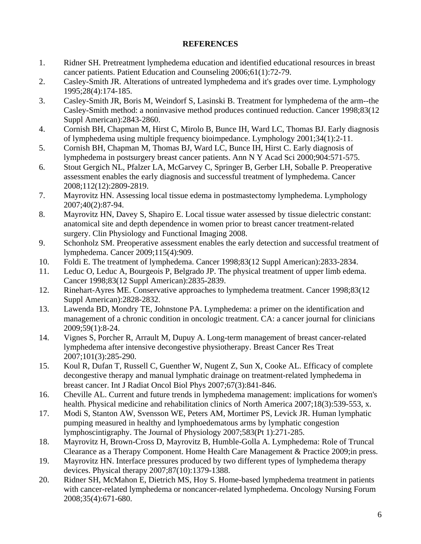# **REFERENCES**

- 1. Ridner SH. Pretreatment lymphedema education and identified educational resources in breast cancer patients. Patient Education and Counseling 2006;61(1):72-79.
- 2. Casley-Smith JR. Alterations of untreated lymphedema and it's grades over time. Lymphology 1995;28(4):174-185.
- 3. Casley-Smith JR, Boris M, Weindorf S, Lasinski B. Treatment for lymphedema of the arm--the Casley-Smith method: a noninvasive method produces continued reduction. Cancer 1998;83(12 Suppl American):2843-2860.
- 4. Cornish BH, Chapman M, Hirst C, Mirolo B, Bunce IH, Ward LC, Thomas BJ. Early diagnosis of lymphedema using multiple frequency bioimpedance. Lymphology 2001;34(1):2-11.
- 5. Cornish BH, Chapman M, Thomas BJ, Ward LC, Bunce IH, Hirst C. Early diagnosis of lymphedema in postsurgery breast cancer patients. Ann N Y Acad Sci 2000;904:571-575.
- 6. Stout Gergich NL, Pfalzer LA, McGarvey C, Springer B, Gerber LH, Soballe P. Preoperative assessment enables the early diagnosis and successful treatment of lymphedema. Cancer 2008;112(12):2809-2819.
- 7. Mayrovitz HN. Assessing local tissue edema in postmastectomy lymphedema. Lymphology 2007;40(2):87-94.
- 8. Mayrovitz HN, Davey S, Shapiro E. Local tissue water assessed by tissue dielectric constant: anatomical site and depth dependence in women prior to breast cancer treatment-related surgery. Clin Physiology and Functional Imaging 2008.
- 9. Schonholz SM. Preoperative assessment enables the early detection and successful treatment of lymphedema. Cancer 2009;115(4):909.
- 10. Foldi E. The treatment of lymphedema. Cancer 1998;83(12 Suppl American):2833-2834.
- 11. Leduc O, Leduc A, Bourgeois P, Belgrado JP. The physical treatment of upper limb edema. Cancer 1998;83(12 Suppl American):2835-2839.
- 12. Rinehart-Ayres ME. Conservative approaches to lymphedema treatment. Cancer 1998;83(12 Suppl American):2828-2832.
- 13. Lawenda BD, Mondry TE, Johnstone PA. Lymphedema: a primer on the identification and management of a chronic condition in oncologic treatment. CA: a cancer journal for clinicians 2009;59(1):8-24.
- 14. Vignes S, Porcher R, Arrault M, Dupuy A. Long-term management of breast cancer-related lymphedema after intensive decongestive physiotherapy. Breast Cancer Res Treat 2007;101(3):285-290.
- 15. Koul R, Dufan T, Russell C, Guenther W, Nugent Z, Sun X, Cooke AL. Efficacy of complete decongestive therapy and manual lymphatic drainage on treatment-related lymphedema in breast cancer. Int J Radiat Oncol Biol Phys 2007;67(3):841-846.
- 16. Cheville AL. Current and future trends in lymphedema management: implications for women's health. Physical medicine and rehabilitation clinics of North America 2007;18(3):539-553, x.
- 17. Modi S, Stanton AW, Svensson WE, Peters AM, Mortimer PS, Levick JR. Human lymphatic pumping measured in healthy and lymphoedematous arms by lymphatic congestion lymphoscintigraphy. The Journal of Physiology 2007;583(Pt 1):271-285.
- 18. Mayrovitz H, Brown-Cross D, Mayrovitz B, Humble-Golla A. Lymphedema: Role of Truncal Clearance as a Therapy Component. Home Health Care Management & Practice 2009;in press.
- 19. Mayrovitz HN. Interface pressures produced by two different types of lymphedema therapy devices. Physical therapy 2007;87(10):1379-1388.
- 20. Ridner SH, McMahon E, Dietrich MS, Hoy S. Home-based lymphedema treatment in patients with cancer-related lymphedema or noncancer-related lymphedema. Oncology Nursing Forum 2008;35(4):671-680.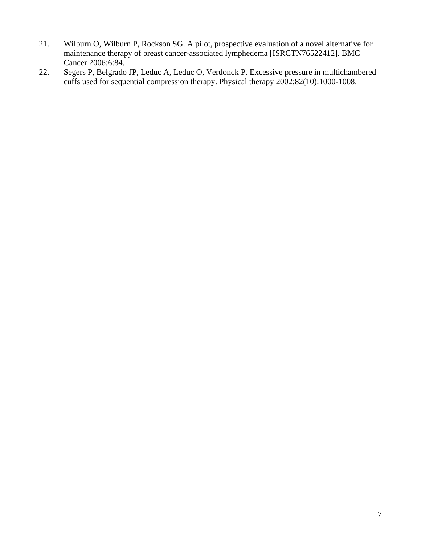- 21. Wilburn O, Wilburn P, Rockson SG. A pilot, prospective evaluation of a novel alternative for maintenance therapy of breast cancer-associated lymphedema [ISRCTN76522412]. BMC Cancer 2006;6:84.
- 22. Segers P, Belgrado JP, Leduc A, Leduc O, Verdonck P. Excessive pressure in multichambered cuffs used for sequential compression therapy. Physical therapy 2002;82(10):1000-1008.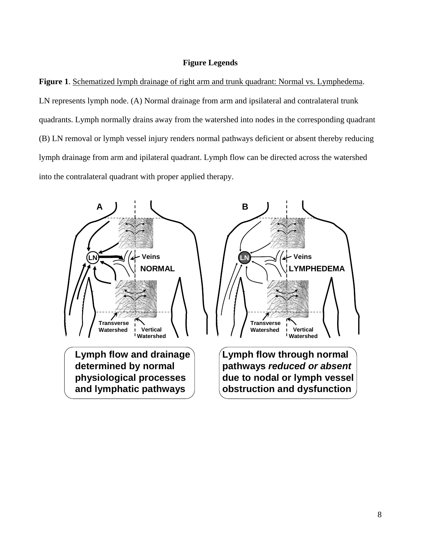## **Figure Legends**

**Figure 1**. Schematized lymph drainage of right arm and trunk quadrant: Normal vs. Lymphedema. LN represents lymph node. (A) Normal drainage from arm and ipsilateral and contralateral trunk quadrants. Lymph normally drains away from the watershed into nodes in the corresponding quadrant (B) LN removal or lymph vessel injury renders normal pathways deficient or absent thereby reducing lymph drainage from arm and ipilateral quadrant. Lymph flow can be directed across the watershed into the contralateral quadrant with proper applied therapy.

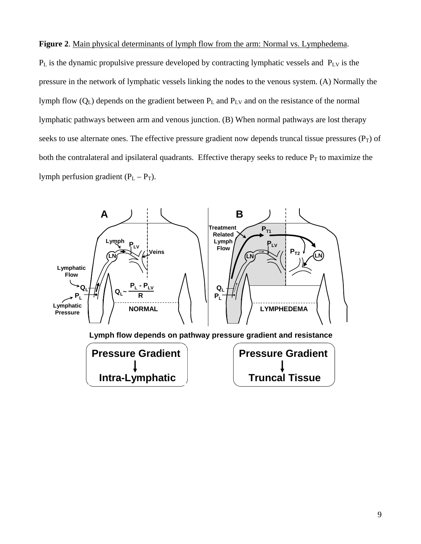## **Figure 2**. Main physical determinants of lymph flow from the arm: Normal vs. Lymphedema.

 $P_L$  is the dynamic propulsive pressure developed by contracting lymphatic vessels and  $P_{LV}$  is the pressure in the network of lymphatic vessels linking the nodes to the venous system. (A) Normally the lymph flow (Q<sub>L</sub>) depends on the gradient between P<sub>L</sub> and P<sub>LV</sub> and on the resistance of the normal lymphatic pathways between arm and venous junction. (B) When normal pathways are lost therapy seeks to use alternate ones. The effective pressure gradient now depends truncal tissue pressures  $(P_T)$  of both the contralateral and ipsilateral quadrants. Effective therapy seeks to reduce  $P_T$  to maximize the lymph perfusion gradient  $(P_L - P_T)$ .

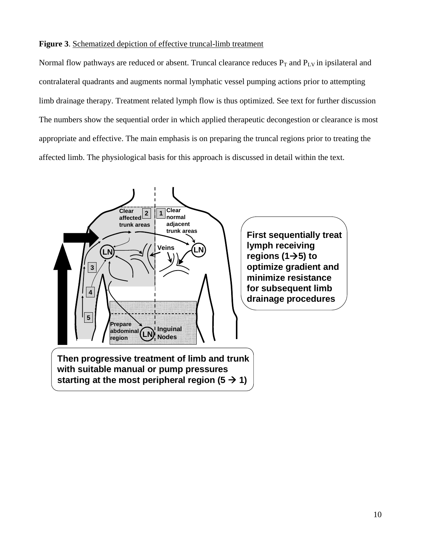## **Figure 3**. Schematized depiction of effective truncal-limb treatment

Normal flow pathways are reduced or absent. Truncal clearance reduces  $P_T$  and  $P_{LV}$  in ipsilateral and contralateral quadrants and augments normal lymphatic vessel pumping actions prior to attempting limb drainage therapy. Treatment related lymph flow is thus optimized. See text for further discussion The numbers show the sequential order in which applied therapeutic decongestion or clearance is most appropriate and effective. The main emphasis is on preparing the truncal regions prior to treating the affected limb. The physiological basis for this approach is discussed in detail within the text.

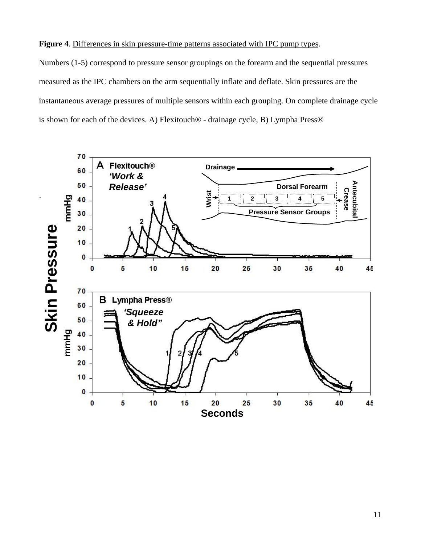## **Figure 4**. Differences in skin pressure-time patterns associated with IPC pump types.

Numbers (1-5) correspond to pressure sensor groupings on the forearm and the sequential pressures measured as the IPC chambers on the arm sequentially inflate and deflate. Skin pressures are the instantaneous average pressures of multiple sensors within each grouping. On complete drainage cycle is shown for each of the devices. A) Flexitouch® - drainage cycle, B) Lympha Press®